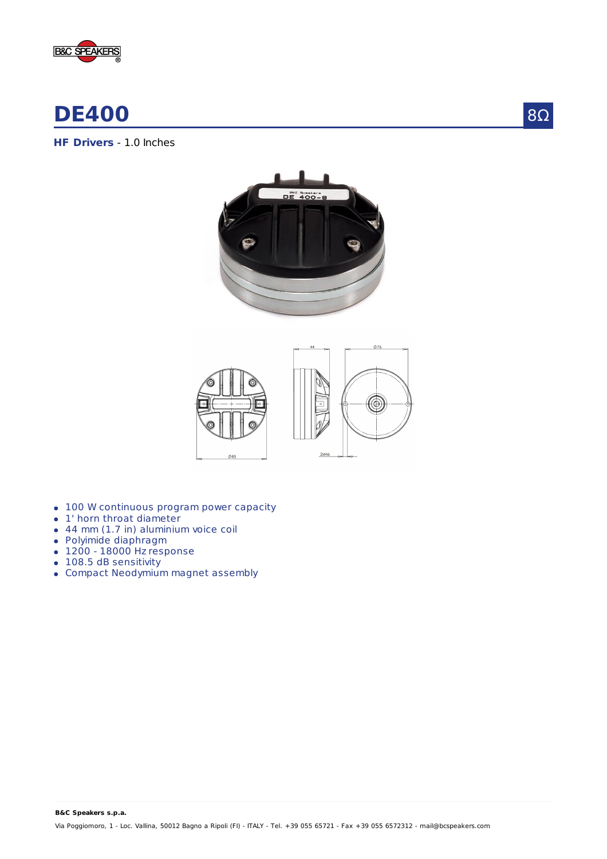



**HF Drivers** - 1.0 Inches





- 100 W continuous program power capacity
- 1' horn throat diameter
- 44 mm (1.7 in) aluminium voice coil
- Polyimide diaphragm
- $\bullet$  1200 18000 Hz response
- 108.5 dB sensitivity
- Compact Neodymium magnet assembly